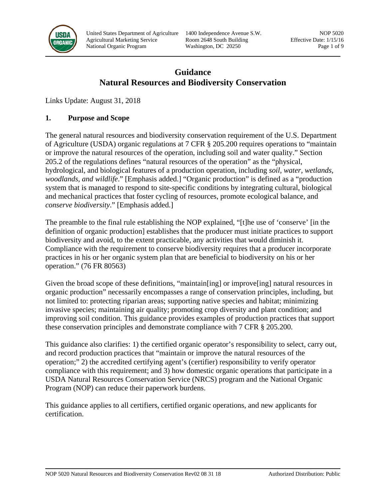

United States Department of Agriculture 1400 Independence Avenue S.W. NOP 5020 Agricultural Marketing Service Room 2648 South Building Effective Date: 1/15/16 National Organic Program Washington, DC 20250 Page 1 of 9

# **Guidance Natural Resources and Biodiversity Conservation**

Links Update: August 31, 2018

### **1. Purpose and Scope**

The general natural resources and biodiversity conservation requirement of the U.S. Department of Agriculture (USDA) organic regulations at 7 CFR § 205.200 requires operations to "maintain or improve the natural resources of the operation, including soil and water quality." Section 205.2 of the regulations defines "natural resources of the operation" as the "physical, hydrological, and biological features of a production operation, including *soil, water, wetlands, woodlands, and wildlife*." [Emphasis added.] "Organic production" is defined as a "production system that is managed to respond to site-specific conditions by integrating cultural, biological and mechanical practices that foster cycling of resources, promote ecological balance, and *conserve biodiversity*." [Emphasis added.]

The preamble to the final rule establishing the NOP explained, "[t]he use of 'conserve' [in the definition of organic production] establishes that the producer must initiate practices to support biodiversity and avoid, to the extent practicable, any activities that would diminish it. Compliance with the requirement to conserve biodiversity requires that a producer incorporate practices in his or her organic system plan that are beneficial to biodiversity on his or her operation." (76 FR 80563)

Given the broad scope of these definitions, "maintain[ing] or improve[ing] natural resources in organic production" necessarily encompasses a range of conservation principles, including, but not limited to: protecting riparian areas; supporting native species and habitat; minimizing invasive species; maintaining air quality; promoting crop diversity and plant condition; and improving soil condition. This guidance provides examples of production practices that support these conservation principles and demonstrate compliance with 7 CFR § 205.200.

This guidance also clarifies: 1) the certified organic operator's responsibility to select, carry out, and record production practices that "maintain or improve the natural resources of the operation;" 2) the accredited certifying agent's (certifier) responsibility to verify operator compliance with this requirement; and 3) how domestic organic operations that participate in a USDA Natural Resources Conservation Service (NRCS) program and the National Organic Program (NOP) can reduce their paperwork burdens.

This guidance applies to all certifiers, certified organic operations, and new applicants for certification.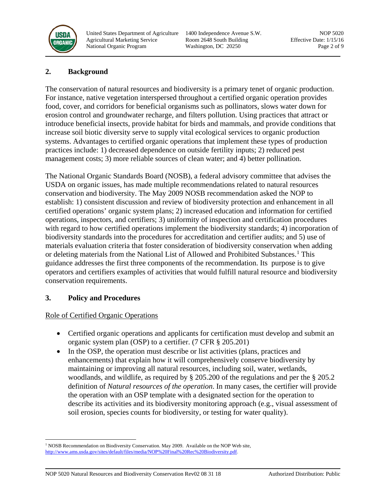

United States Department of Agriculture 1400 Independence Avenue S.W. NOP 5020 Agricultural Marketing Service Room 2648 South Building Effective Date: 1/15/16 National Organic Program Washington, DC 20250 Page 2 of 9

# **2. Background**

The conservation of natural resources and biodiversity is a primary tenet of organic production. For instance, native vegetation interspersed throughout a certified organic operation provides food, cover, and corridors for beneficial organisms such as pollinators, slows water down for erosion control and groundwater recharge, and filters pollution. Using practices that attract or introduce beneficial insects, provide habitat for birds and mammals, and provide conditions that increase soil biotic diversity serve to supply vital ecological services to organic production systems. Advantages to certified organic operations that implement these types of production practices include: 1) decreased dependence on outside fertility inputs; 2) reduced pest management costs; 3) more reliable sources of clean water; and 4) better pollination.

The National Organic Standards Board (NOSB), a federal advisory committee that advises the USDA on organic issues, has made multiple recommendations related to natural resources conservation and biodiversity. The May 2009 NOSB recommendation asked the NOP to establish: 1) consistent discussion and review of biodiversity protection and enhancement in all certified operations' organic system plans; 2) increased education and information for certified operations, inspectors, and certifiers; 3) uniformity of inspection and certification procedures with regard to how certified operations implement the biodiversity standards; 4) incorporation of biodiversity standards into the procedures for accreditation and certifier audits; and 5) use of materials evaluation criteria that foster consideration of biodiversity conservation when adding or deleting materials from the National List of Allowed and Prohibited Substances.<sup>[1](#page-1-0)</sup> This guidance addresses the first three components of the recommendation. Its purpose is to give operators and certifiers examples of activities that would fulfill natural resource and biodiversity conservation requirements.

# **3. Policy and Procedures**

# Role of Certified Organic Operations

- Certified organic operations and applicants for certification must develop and submit an organic system plan (OSP) to a certifier. (7 CFR § 205.201)
- In the OSP, the operation must describe or list activities (plans, practices and enhancements) that explain how it will comprehensively conserve biodiversity by maintaining or improving all natural resources, including soil, water, wetlands, woodlands, and wildlife, as required by § 205.200 of the regulations and per the § 205.2 definition of *Natural resources of the operation*. In many cases, the certifier will provide the operation with an OSP template with a designated section for the operation to describe its activities and its biodiversity monitoring approach (e.g., visual assessment of soil erosion, species counts for biodiversity, or testing for water quality).

<span id="page-1-0"></span><sup>&</sup>lt;sup>1</sup> NOSB Recommendation on Biodiversity Conservation. May 2009. Available on the NOP Web site, [http://www.ams.usda.gov/sites/default/files/media/NOP%20Final%20Rec%20Biodiversity.pdf.](http://www.ams.usda.gov/sites/default/files/media/NOP%20Final%20Rec%20Biodiversity.pdf)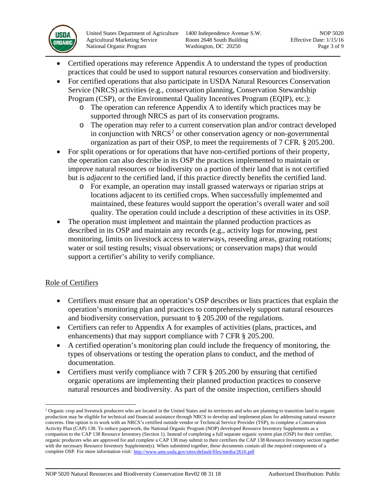

United States Department of Agriculture 1400 Independence Avenue S.W. NOP 5020 Agricultural Marketing Service Room 2648 South Building Effective Date: 1/15/16 National Organic Program Washington, DC 20250 Page 3 of 9

- Certified operations may reference Appendix A to understand the types of production practices that could be used to support natural resources conservation and biodiversity.
- For certified operations that also participate in USDA Natural Resources Conservation Service (NRCS) activities (e.g., conservation planning, Conservation Stewardship Program (CSP), or the Environmental Quality Incentives Program (EQIP), etc.):
	- o The operation can reference Appendix A to identify which practices may be supported through NRCS as part of its conservation programs.
	- o The operation may refer to a current conservation plan and/or contract developed in conjunction with  $NRCS<sup>2</sup>$  $NRCS<sup>2</sup>$  $NRCS<sup>2</sup>$  or other conservation agency or non-governmental organization as part of their OSP, to meet the requirements of 7 CFR. § 205.200.
- For split operations or for operations that have non-certified portions of their property, the operation can also describe in its OSP the practices implemented to maintain or improve natural resources or biodiversity on a portion of their land that is not certified but is *adjacent* to the certified land, if this practice directly benefits the certified land.
	- o For example, an operation may install grassed waterways or riparian strips at locations adjacent to its certified crops. When successfully implemented and maintained, these features would support the operation's overall water and soil quality. The operation could include a description of these activities in its OSP.
- The operation must implement and maintain the planned production practices as described in its OSP and maintain any records (e.g., activity logs for mowing, pest monitoring, limits on livestock access to waterways, reseeding areas, grazing rotations; water or soil testing results; visual observations; or conservation maps) that would support a certifier's ability to verify compliance.

# Role of Certifiers

- Certifiers must ensure that an operation's OSP describes or lists practices that explain the operation's monitoring plan and practices to comprehensively support natural resources and biodiversity conservation, pursuant to § 205.200 of the regulations.
- Certifiers can refer to Appendix A for examples of activities (plans, practices, and enhancements) that may support compliance with 7 CFR § 205.200.
- A certified operation's monitoring plan could include the frequency of monitoring, the types of observations or testing the operation plans to conduct, and the method of documentation.
- Certifiers must verify compliance with 7 CFR § 205.200 by ensuring that certified organic operations are implementing their planned production practices to conserve natural resources and biodiversity. As part of the onsite inspection, certifiers should

<span id="page-2-0"></span><sup>&</sup>lt;sup>2</sup> Organic crop and livestock producers who are located in the United States and its territories and who are planning to transition land to organic production may be eligible for technical and financial assistance through NRCS to develop and implement plans for addressing natural resource concerns. One option is to work with an NRCS's certified outside vendor or Technical Service Provider (TSP), to complete a Conservation Activity Plan (CAP) 138. To reduce paperwork, the National Organic Program (NOP) developed Resource Inventory Supplements as a companion to the CAP 138 Resource Inventory (Section 1). Instead of completing a full separate organic system plan (OSP) for their certifier, organic producers who are approved for and complete a CAP 138 may submit to their certifiers the CAP 138 Resource Inventory section together with the necessary Resource Inventory Supplement(s). When submitted together, these documents contain all the required components of a complete OSP. For more information visit: <http://www.ams.usda.gov/sites/default/files/media/2616.pdf>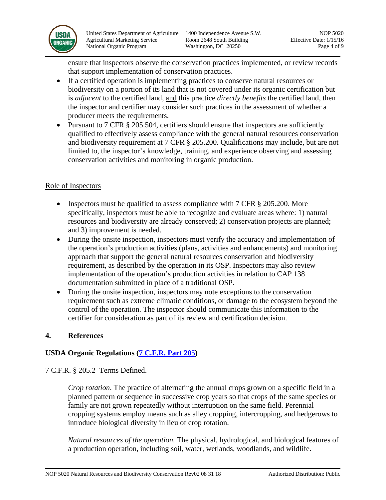

United States Department of Agriculture 1400 Independence Avenue S.W. NOP 5020 Agricultural Marketing Service Room 2648 South Building Effective Date: 1/15/16 National Organic Program Washington, DC 20250 Page 4 of 9

ensure that inspectors observe the conservation practices implemented, or review records that support implementation of conservation practices.

- If a certified operation is implementing practices to conserve natural resources or biodiversity on a portion of its land that is not covered under its organic certification but is *adjacent* to the certified land, and this practice *directly benefits* the certified land, then the inspector and certifier may consider such practices in the assessment of whether a producer meets the requirements.
- Pursuant to 7 CFR § 205.504, certifiers should ensure that inspectors are sufficiently qualified to effectively assess compliance with the general natural resources conservation and biodiversity requirement at 7 CFR § 205.200. Qualifications may include, but are not limited to, the inspector's knowledge, training, and experience observing and assessing conservation activities and monitoring in organic production.

# Role of Inspectors

- Inspectors must be qualified to assess compliance with 7 CFR § 205.200. More specifically, inspectors must be able to recognize and evaluate areas where: 1) natural resources and biodiversity are already conserved; 2) conservation projects are planned; and 3) improvement is needed.
- During the onsite inspection, inspectors must verify the accuracy and implementation of the operation's production activities (plans, activities and enhancements) and monitoring approach that support the general natural resources conservation and biodiversity requirement, as described by the operation in its OSP. Inspectors may also review implementation of the operation's production activities in relation to CAP 138 documentation submitted in place of a traditional OSP.
- During the onsite inspection, inspectors may note exceptions to the conservation requirement such as extreme climatic conditions, or damage to the ecosystem beyond the control of the operation. The inspector should communicate this information to the certifier for consideration as part of its review and certification decision.

#### **4. References**

# **USDA Organic Regulations (7 C.F.R. [Part 205\)](http://www.ecfr.gov/cgi-bin/text-idx?c=ecfr&sid=3f34f4c22f9aa8e6d9864cc2683cea02&tpl=/ecfrbrowse/Title07/7cfr205_main_02.tpl)**

7 C.F.R. § 205.2 Terms Defined.

*Crop rotation*. The practice of alternating the annual crops grown on a specific field in a planned pattern or sequence in successive crop years so that crops of the same species or family are not grown repeatedly without interruption on the same field. Perennial cropping systems employ means such as alley cropping, intercropping, and hedgerows to introduce biological diversity in lieu of crop rotation.

*Natural resources of the operation.* The physical, hydrological, and biological features of a production operation, including soil, water, wetlands, woodlands, and wildlife.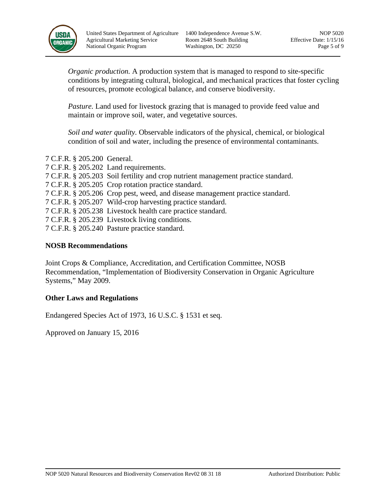

United States Department of Agriculture 1400 Independence Avenue S.W. NOP 5020 Agricultural Marketing Service Room 2648 South Building Effective Date: 1/15/16 National Organic Program Washington, DC 20250 Page 5 of 9

*Organic production.* A production system that is managed to respond to site-specific conditions by integrating cultural, biological, and mechanical practices that foster cycling of resources, promote ecological balance, and conserve biodiversity.

*Pasture.* Land used for livestock grazing that is managed to provide feed value and maintain or improve soil, water, and vegetative sources.

*Soil and water quality.* Observable indicators of the physical, chemical, or biological condition of soil and water, including the presence of environmental contaminants.

- 7 C.F.R. § 205.200 General.
- 7 C.F.R. § 205.202 Land requirements.
- 7 C.F.R. § 205.203 Soil fertility and crop nutrient management practice standard.
- 7 C.F.R. § 205.205 Crop rotation practice standard.
- 7 C.F.R. § 205.206 Crop pest, weed, and disease management practice standard.
- 7 C.F.R. § 205.207 Wild-crop harvesting practice standard.
- 7 C.F.R. § 205.238 Livestock health care practice standard.
- 7 C.F.R. § 205.239 Livestock living conditions.
- 7 C.F.R. § 205.240 Pasture practice standard.

#### **NOSB Recommendations**

Joint Crops & Compliance, Accreditation, and Certification Committee, NOSB Recommendation, "Implementation of Biodiversity Conservation in Organic Agriculture Systems," May 2009.

#### **Other Laws and Regulations**

Endangered Species Act of 1973, 16 U.S.C. § 1531 et seq.

Approved on January 15, 2016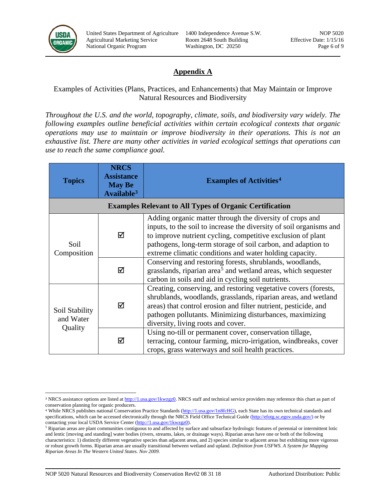

United States Department of Agriculture 1400 Independence Avenue S.W. NOP 5020 Agricultural Marketing Service Room 2648 South Building Effective Date: 1/15/16 National Organic Program Washington, DC 20250 Page 6 of 9

# **Appendix A**

# Examples of Activities (Plans, Practices, and Enhancements) that May Maintain or Improve Natural Resources and Biodiversity

*Throughout the U.S. and the world, topography, climate, soils, and biodiversity vary widely. The following examples outline beneficial activities within certain ecological contexts that organic operations may use to maintain or improve biodiversity in their operations. This is not an exhaustive list. There are many other activities in varied ecological settings that operations can use to reach the same compliance goal.*

| <b>Topics</b>                                                  | <b>NRCS</b><br><b>Assistance</b><br><b>May Be</b><br>Available <sup>3</sup> | <b>Examples of Activities<sup>4</sup></b>                                                                                                                                                                                                                                                                                 |  |  |
|----------------------------------------------------------------|-----------------------------------------------------------------------------|---------------------------------------------------------------------------------------------------------------------------------------------------------------------------------------------------------------------------------------------------------------------------------------------------------------------------|--|--|
| <b>Examples Relevant to All Types of Organic Certification</b> |                                                                             |                                                                                                                                                                                                                                                                                                                           |  |  |
| Soil<br>Composition                                            | ☑                                                                           | Adding organic matter through the diversity of crops and<br>inputs, to the soil to increase the diversity of soil organisms and<br>to improve nutrient cycling, competitive exclusion of plant<br>pathogens, long-term storage of soil carbon, and adaption to<br>extreme climatic conditions and water holding capacity. |  |  |
|                                                                | ☑                                                                           | Conserving and restoring forests, shrublands, woodlands,<br>grasslands, riparian area <sup>5</sup> and wetland areas, which sequester<br>carbon in soils and aid in cycling soil nutrients.                                                                                                                               |  |  |
| Soil Stability<br>and Water<br>Quality                         | ☑                                                                           | Creating, conserving, and restoring vegetative covers (forests,<br>shrublands, woodlands, grasslands, riparian areas, and wetland<br>areas) that control erosion and filter nutrient, pesticide, and<br>pathogen pollutants. Minimizing disturbances, maximizing<br>diversity, living roots and cover.                    |  |  |
|                                                                | ☑                                                                           | Using no-till or permanent cover, conservation tillage,<br>terracing, contour farming, micro-irrigation, windbreaks, cover<br>crops, grass waterways and soil health practices.                                                                                                                                           |  |  |

<span id="page-5-0"></span> $\overline{a}$ <sup>3</sup> NRCS assistance options are listed at [http://1.usa.gov/1kwzgz0.](http://1.usa.gov/1kwzgz0) NRCS staff and technical service providers may reference this chart as part of conservation planning for organic producers.

<span id="page-5-1"></span><sup>&</sup>lt;sup>4</sup> While NRCS publishes national Conservation Practice Standards [\(http://1.usa.gov/1n8fcHG\)](http://1.usa.gov/1n8fcHG), each State has its own technical standards and specifications, which can be accessed electronically through the NRCS Field Office Technical Guide [\(http://efotg.sc.egov.usda.gov/\)](http://efotg.sc.egov.usda.gov/) or by contacting your local USDA Service Center [\(http://1.usa.gov/1kwzgz0\)](http://1.usa.gov/1kwzgz0).

<span id="page-5-2"></span><sup>&</sup>lt;sup>5</sup> Riparian areas are plant communities contiguous to and affected by surface and subsurface hydrologic features of perennial or intermittent lotic and lentic [moving and standing] water bodies (rivers, streams, lakes, or drainage ways). Riparian areas have one or both of the following characteristics: 1) distinctly different vegetative species than adjacent areas, and 2) species similar to adjacent areas but exhibiting more vigorous or robust growth forms. Riparian areas are usually transitional between wetland and upland. *Definition from USFWS. A System for Mapping Riparian Areas In The Western United States. Nov 2009.*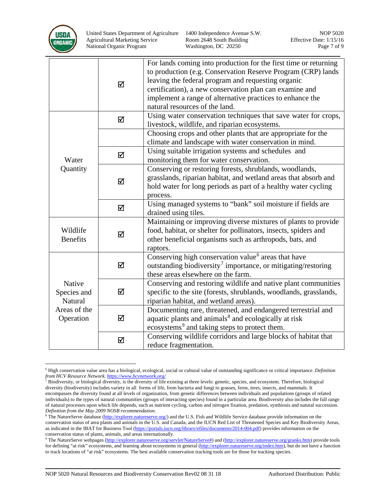

United States Department of Agriculture 1400 Independence Avenue S.W. NOP 5020 Agricultural Marketing Service Room 2648 South Building Effective Date: 1/15/16 National Organic Program Washington, DC 20250 Page 7 of 9

|                                                               | ☑ | For lands coming into production for the first time or returning<br>to production (e.g. Conservation Reserve Program (CRP) lands<br>leaving the federal program and requesting organic<br>certification), a new conservation plan can examine and<br>implement a range of alternative practices to enhance the<br>natural resources of the land. |
|---------------------------------------------------------------|---|--------------------------------------------------------------------------------------------------------------------------------------------------------------------------------------------------------------------------------------------------------------------------------------------------------------------------------------------------|
| Water<br>Quantity                                             | ☑ | Using water conservation techniques that save water for crops,<br>livestock, wildlife, and riparian ecosystems.                                                                                                                                                                                                                                  |
|                                                               |   | Choosing crops and other plants that are appropriate for the<br>climate and landscape with water conservation in mind.                                                                                                                                                                                                                           |
|                                                               | ☑ | Using suitable irrigation systems and schedules and<br>monitoring them for water conservation.                                                                                                                                                                                                                                                   |
|                                                               | ☑ | Conserving or restoring forests, shrublands, woodlands,<br>grasslands, riparian habitat, and wetland areas that absorb and<br>hold water for long periods as part of a healthy water cycling<br>process.                                                                                                                                         |
|                                                               | ☑ | Using managed systems to "bank" soil moisture if fields are<br>drained using tiles.                                                                                                                                                                                                                                                              |
| Wildlife<br><b>Benefits</b>                                   | ☑ | Maintaining or improving diverse mixtures of plants to provide<br>food, habitat, or shelter for pollinators, insects, spiders and<br>other beneficial organisms such as arthropods, bats, and<br>raptors.                                                                                                                                        |
| Native<br>Species and<br>Natural<br>Areas of the<br>Operation | ☑ | Conserving high conservation value <sup>6</sup> areas that have<br>outstanding biodiversity <sup>7</sup> importance, or mitigating/restoring<br>these areas elsewhere on the farm.                                                                                                                                                               |
|                                                               | ☑ | Conserving and restoring wildlife and native plant communities<br>specific to the site (forests, shrublands, woodlands, grasslands,<br>riparian habitat, and wetland areas).                                                                                                                                                                     |
|                                                               | ☑ | Documenting rare, threatened, and endangered terrestrial and<br>aquatic plants and animals <sup>8</sup> and ecologically at risk<br>ecosystems <sup>9</sup> and taking steps to protect them.                                                                                                                                                    |
|                                                               | ☑ | Conserving wildlife corridors and large blocks of habitat that<br>reduce fragmentation.                                                                                                                                                                                                                                                          |

<span id="page-6-0"></span> <sup>6</sup> High conservation value area has a biological, ecological, social or cultural value of outstanding significance or critical importance. *Definition from HCV Resource Network. <https://www.hcvnetwork.org/>*

<span id="page-6-1"></span><sup>&</sup>lt;sup>7</sup> Biodiversity, or biological diversity, is the diversity of life existing at three levels: genetic, species, and ecosystem. Therefore, biological diversity (biodiversity) includes variety in all forms of life, from bacteria and fungi to grasses, ferns, trees, insects, and mammals. It encompasses the diversity found at all levels of organization, from genetic differences between individuals and populations (groups of related individuals) to the types of natural communities (groups of interacting species) found in a particular area. Biodiversity also includes the full range of natural processes upon which life depends, such as nutrient cycling, carbon and nitrogen fixation, predation, symbiosis and natural succession. *Definition from the May 2009 NOSB recommendation.*

<span id="page-6-2"></span><sup>&</sup>lt;sup>8</sup> The NatureServe database [\(http://explorer.natureserve.org/\)](http://explorer.natureserve.org/) and the U.S. Fish and Wildlife Service database provide information on the conservation status of area plants and animals in the U.S. and Canada, and the IUCN Red List of Threatened Species and Key Biodiversity Areas, as indicated in the IBAT for Business Tool (https://portals.jucn.org/library/efiles/documents/2014-004.pdf) provides information on the conservation status of plants, animals, and areas internationally.

<span id="page-6-3"></span><sup>9</sup> The NatureServe webpages [\(http://explorer.natureserve.org/servlet/NatureServe#\)](http://explorer.natureserve.org/servlet/NatureServe) and [\(http://explorer.natureserve.org/granks.htm\)](http://explorer.natureserve.org/granks.htm) provide tools for defining "at risk" ecosystems, and learning about ecosystems in general [\(http://explorer.natureserve.org/index.htm\)](http://explorer.natureserve.org/index.htm), but do not have a function to track locations of "at risk" ecosystems. The best available conservation tracking tools are for those for tracking species.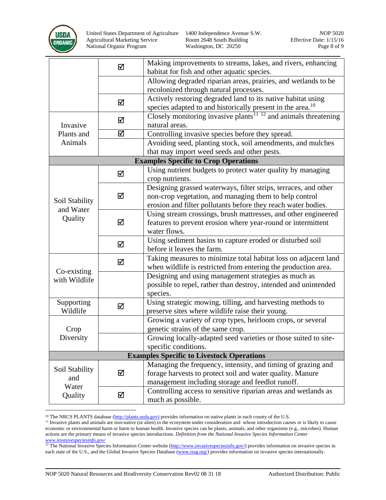

United States Department of Agriculture 1400 Independence Avenue S.W. NOP 5020 Agricultural Marketing Service Room 2648 South Building Effective Date: 1/15/16 National Organic Program Washington, DC 20250 Page 8 of 9

|                                                  | ☑ | Making improvements to streams, lakes, and rivers, enhancing                |  |  |
|--------------------------------------------------|---|-----------------------------------------------------------------------------|--|--|
|                                                  |   | habitat for fish and other aquatic species.                                 |  |  |
|                                                  |   | Allowing degraded riparian areas, prairies, and wetlands to be              |  |  |
|                                                  |   | recolonized through natural processes.                                      |  |  |
|                                                  | ☑ | Actively restoring degraded land to its native habitat using                |  |  |
|                                                  |   | species adapted to and historically present in the area. <sup>10</sup>      |  |  |
|                                                  | ☑ | Closely monitoring invasive plants <sup>11–12</sup> and animals threatening |  |  |
| Invasive                                         |   | natural areas.                                                              |  |  |
| Plants and                                       | ☑ | Controlling invasive species before they spread.                            |  |  |
| Animals                                          |   | Avoiding seed, planting stock, soil amendments, and mulches                 |  |  |
|                                                  |   | that may import weed seeds and other pests.                                 |  |  |
|                                                  |   | <b>Examples Specific to Crop Operations</b>                                 |  |  |
|                                                  | ☑ | Using nutrient budgets to protect water quality by managing                 |  |  |
|                                                  |   | crop nutrients.                                                             |  |  |
|                                                  | ☑ | Designing grassed waterways, filter strips, terraces, and other             |  |  |
| Soil Stability                                   |   | non-crop vegetation, and managing them to help control                      |  |  |
| and Water                                        |   | erosion and filter pollutants before they reach water bodies.               |  |  |
| Quality                                          |   | Using stream crossings, brush mattresses, and other engineered              |  |  |
|                                                  | ☑ | features to prevent erosion where year-round or intermittent                |  |  |
|                                                  |   | water flows.                                                                |  |  |
|                                                  | ☑ | Using sediment basins to capture eroded or disturbed soil                   |  |  |
|                                                  |   | before it leaves the farm.                                                  |  |  |
|                                                  | ☑ | Taking measures to minimize total habitat loss on adjacent land             |  |  |
| Co-existing                                      |   | when wildlife is restricted from entering the production area.              |  |  |
| with Wildlife                                    |   | Designing and using management strategies as much as                        |  |  |
|                                                  |   | possible to repel, rather than destroy, intended and unintended             |  |  |
|                                                  |   | species.                                                                    |  |  |
| Supporting                                       | ☑ | Using strategic mowing, tilling, and harvesting methods to                  |  |  |
| Wildlife                                         |   | preserve sites where wildlife raise their young.                            |  |  |
|                                                  |   | Growing a variety of crop types, heirloom crops, or several                 |  |  |
| Crop                                             |   | genetic strains of the same crop.                                           |  |  |
| Diversity                                        |   | Growing locally-adapted seed varieties or those suited to site-             |  |  |
|                                                  |   | specific conditions.                                                        |  |  |
| <b>Examples Specific to Livestock Operations</b> |   |                                                                             |  |  |
| Soil Stability<br>and                            | ☑ | Managing the frequency, intensity, and timing of grazing and                |  |  |
|                                                  |   | forage harvests to protect soil and water quality. Manure                   |  |  |
| Water                                            |   | management including storage and feedlot runoff.                            |  |  |
| Quality                                          | ☑ | Controlling access to sensitive riparian areas and wetlands as              |  |  |
|                                                  |   | much as possible.                                                           |  |  |

 $\overline{a}$ 

<span id="page-7-1"></span><span id="page-7-0"></span><sup>&</sup>lt;sup>10</sup> The NRCS PLANTS database ( $\frac{http://plants.usda.gov)}{http://plants.usda.gov)}$  provides information on native plants in each county of the U.S.<br><sup>11</sup> Invasive plants and animals are non-native (or alien) to the ecosystem under consideration and wh economic or environmental harm or harm to human health. Invasive species can be plants, animals, and other organisms (e.g., microbes). Human actions are the primary means of invasive species introductions. *Definition from the National Invasive Species Information Center [www.invasivespeciesinfo.gov/](http://www.invasivespeciesinfo.gov/)*

<span id="page-7-2"></span><sup>&</sup>lt;sup>12</sup> The National Invasive Species Information Center website [\(http://www.invasivespeciesinfo.gov/\)](http://www.invasivespeciesinfo.gov/) provides information on invasive species in each state of the U.S., and the Global Invasive Species Database [\(www.issg.org/\)](http://www.issg.org/) provides information on invasive species internationally.